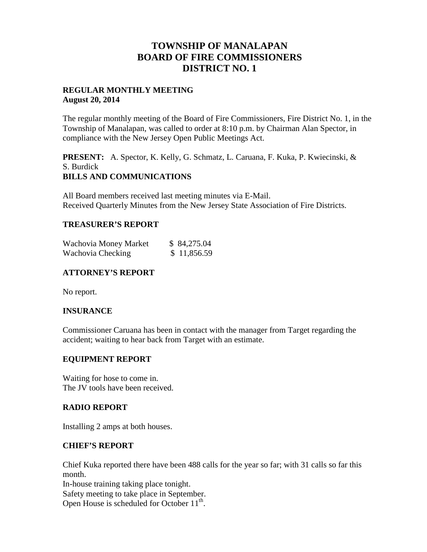## **TOWNSHIP OF MANALAPAN BOARD OF FIRE COMMISSIONERS DISTRICT NO. 1**

## **REGULAR MONTHLY MEETING August 20, 2014**

The regular monthly meeting of the Board of Fire Commissioners, Fire District No. 1, in the Township of Manalapan, was called to order at 8:10 p.m. by Chairman Alan Spector, in compliance with the New Jersey Open Public Meetings Act.

**PRESENT:** A. Spector, K. Kelly, G. Schmatz, L. Caruana, F. Kuka, P. Kwiecinski, & S. Burdick **BILLS AND COMMUNICATIONS**

All Board members received last meeting minutes via E-Mail. Received Quarterly Minutes from the New Jersey State Association of Fire Districts.

## **TREASURER'S REPORT**

| Wachovia Money Market | \$ 84,275.04 |
|-----------------------|--------------|
| Wachovia Checking     | \$11,856.59  |

## **ATTORNEY'S REPORT**

No report.

## **INSURANCE**

Commissioner Caruana has been in contact with the manager from Target regarding the accident; waiting to hear back from Target with an estimate.

## **EQUIPMENT REPORT**

Waiting for hose to come in. The JV tools have been received.

## **RADIO REPORT**

Installing 2 amps at both houses.

## **CHIEF'S REPORT**

Chief Kuka reported there have been 488 calls for the year so far; with 31 calls so far this month.

In-house training taking place tonight.

Safety meeting to take place in September. Open House is scheduled for October 11<sup>th</sup>.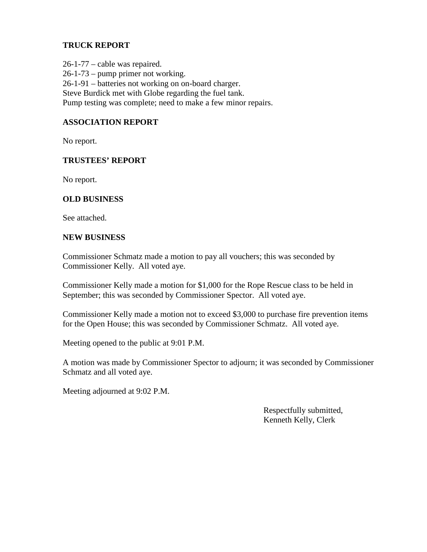## **TRUCK REPORT**

26-1-77 – cable was repaired. 26-1-73 – pump primer not working. 26-1-91 – batteries not working on on-board charger. Steve Burdick met with Globe regarding the fuel tank. Pump testing was complete; need to make a few minor repairs.

## **ASSOCIATION REPORT**

No report.

## **TRUSTEES' REPORT**

No report.

## **OLD BUSINESS**

See attached.

## **NEW BUSINESS**

Commissioner Schmatz made a motion to pay all vouchers; this was seconded by Commissioner Kelly. All voted aye.

Commissioner Kelly made a motion for \$1,000 for the Rope Rescue class to be held in September; this was seconded by Commissioner Spector. All voted aye.

Commissioner Kelly made a motion not to exceed \$3,000 to purchase fire prevention items for the Open House; this was seconded by Commissioner Schmatz. All voted aye.

Meeting opened to the public at 9:01 P.M.

A motion was made by Commissioner Spector to adjourn; it was seconded by Commissioner Schmatz and all voted aye.

Meeting adjourned at 9:02 P.M.

Respectfully submitted, Kenneth Kelly, Clerk